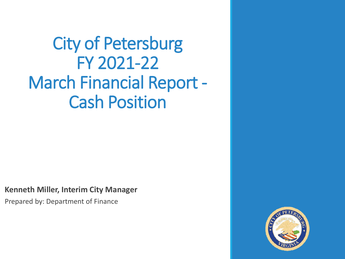## City of Petersburg FY 2021-22 March Financial Report - Cash Position

**Kenneth Miller, Interim City Manager**

Prepared by: Department of Finance

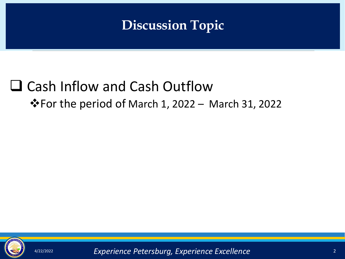### **Discussion Topic**

### ❑ Cash Inflow and Cash Outflow ❖For the period of March 1, 2022 – March 31, 2022



4/22/2022 2 *Experience Petersburg, Experience Excellence*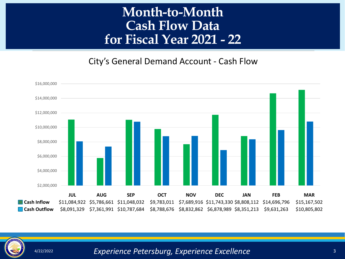#### **Month-to-Month Cash Flow Data for Fiscal Year 2021 - 22**

City's General Demand Account - Cash Flow





4/22/2022 3 *Experience Petersburg, Experience Excellence*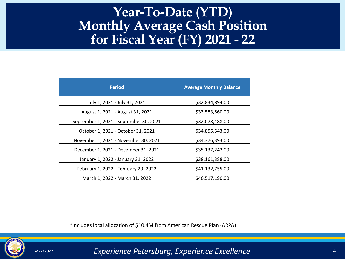#### <u>ar (</u> **Year-To-Date (YTD) Monthly Average Cash Position for Fiscal Year (FY) 2021 - 22**

| <b>Period</b>                          | <b>Average Monthly Balance</b> |
|----------------------------------------|--------------------------------|
| July 1, 2021 - July 31, 2021           | \$32,834,894.00                |
| August 1, 2021 - August 31, 2021       | \$33,583,860.00                |
| September 1, 2021 - September 30, 2021 | \$32,073,488.00                |
| October 1, 2021 - October 31, 2021     | \$34,855,543.00                |
| November 1, 2021 - November 30, 2021   | \$34,376,393.00                |
| December 1, 2021 - December 31, 2021   | \$35,137,242.00                |
| January 1, 2022 - January 31, 2022     | \$38,161,388.00                |
| February 1, 2022 - February 29, 2022   | \$41,132,755.00                |
| March 1, 2022 - March 31, 2022         | \$46,517,190.00                |

\*Includes local allocation of \$10.4M from American Rescue Plan (ARPA)



4/22/2022 4 *Experience Petersburg, Experience Excellence*